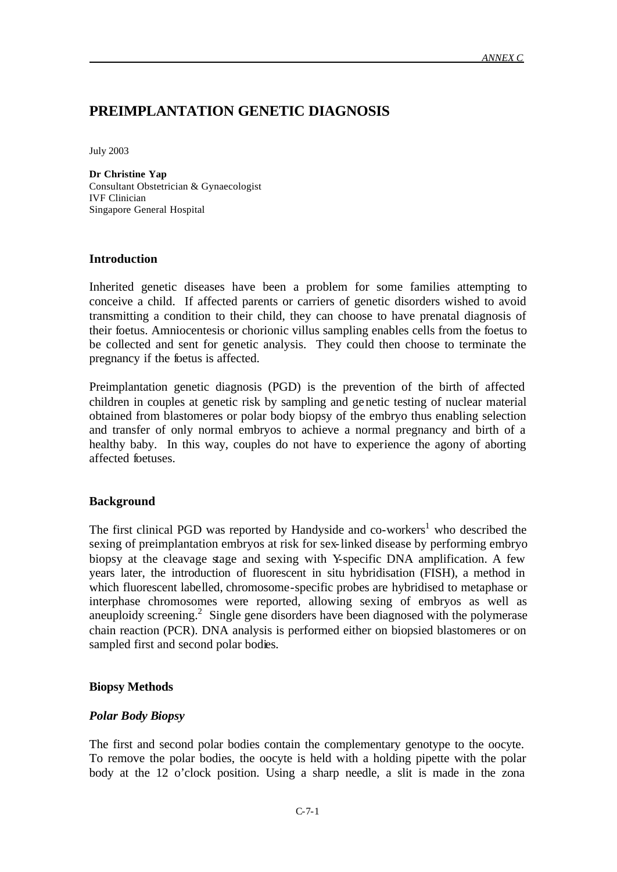## **PREIMPLANTATION GENETIC DIAGNOSIS**

July 2003

**Dr Christine Yap** Consultant Obstetrician & Gynaecologist IVF Clinician Singapore General Hospital

#### **Introduction**

Inherited genetic diseases have been a problem for some families attempting to conceive a child. If affected parents or carriers of genetic disorders wished to avoid transmitting a condition to their child, they can choose to have prenatal diagnosis of their foetus. Amniocentesis or chorionic villus sampling enables cells from the foetus to be collected and sent for genetic analysis. They could then choose to terminate the pregnancy if the foetus is affected.

Preimplantation genetic diagnosis (PGD) is the prevention of the birth of affected children in couples at genetic risk by sampling and genetic testing of nuclear material obtained from blastomeres or polar body biopsy of the embryo thus enabling selection and transfer of only normal embryos to achieve a normal pregnancy and birth of a healthy baby. In this way, couples do not have to experience the agony of aborting affected foetuses.

#### **Background**

The first clinical PGD was reported by Handyside and co-workers<sup>1</sup> who described the sexing of preimplantation embryos at risk for sex-linked disease by performing embryo biopsy at the cleavage stage and sexing with Y-specific DNA amplification. A few years later, the introduction of fluorescent in situ hybridisation (FISH), a method in which fluorescent labelled, chromosome-specific probes are hybridised to metaphase or interphase chromosomes were reported, allowing sexing of embryos as well as aneuploidy screening. 2 Single gene disorders have been diagnosed with the polymerase chain reaction (PCR). DNA analysis is performed either on biopsied blastomeres or on sampled first and second polar bodies.

#### **Biopsy Methods**

#### *Polar Body Biopsy*

The first and second polar bodies contain the complementary genotype to the oocyte. To remove the polar bodies, the oocyte is held with a holding pipette with the polar body at the 12 o'clock position. Using a sharp needle, a slit is made in the zona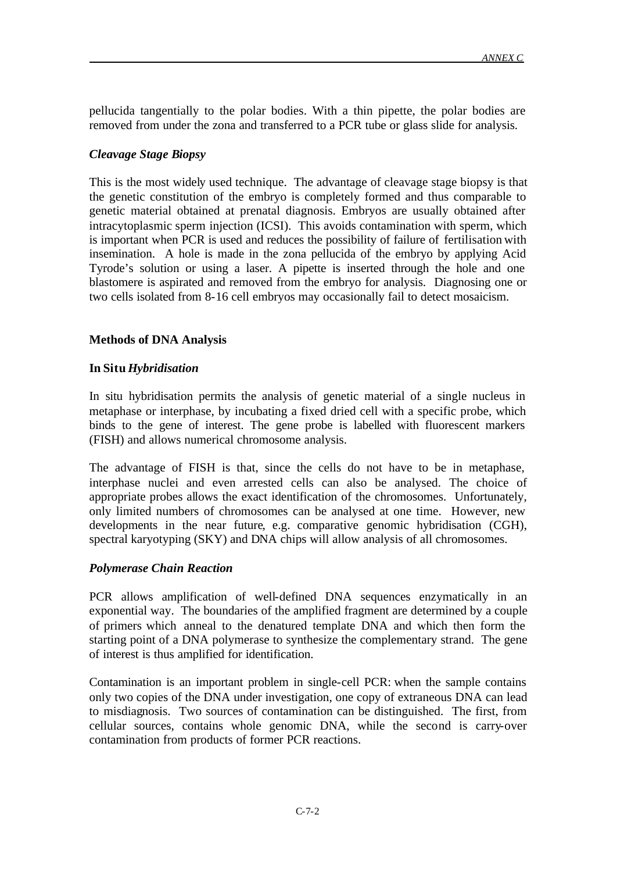pellucida tangentially to the polar bodies. With a thin pipette, the polar bodies are removed from under the zona and transferred to a PCR tube or glass slide for analysis.

## *Cleavage Stage Biopsy*

This is the most widely used technique. The advantage of cleavage stage biopsy is that the genetic constitution of the embryo is completely formed and thus comparable to genetic material obtained at prenatal diagnosis. Embryos are usually obtained after intracytoplasmic sperm injection (ICSI). This avoids contamination with sperm, which is important when PCR is used and reduces the possibility of failure of fertilisation with insemination. A hole is made in the zona pellucida of the embryo by applying Acid Tyrode's solution or using a laser. A pipette is inserted through the hole and one blastomere is aspirated and removed from the embryo for analysis. Diagnosing one or two cells isolated from 8-16 cell embryos may occasionally fail to detect mosaicism.

## **Methods of DNA Analysis**

#### **In Situ** *Hybridisation*

In situ hybridisation permits the analysis of genetic material of a single nucleus in metaphase or interphase, by incubating a fixed dried cell with a specific probe, which binds to the gene of interest. The gene probe is labelled with fluorescent markers (FISH) and allows numerical chromosome analysis.

The advantage of FISH is that, since the cells do not have to be in metaphase, interphase nuclei and even arrested cells can also be analysed. The choice of appropriate probes allows the exact identification of the chromosomes. Unfortunately, only limited numbers of chromosomes can be analysed at one time. However, new developments in the near future, e.g. comparative genomic hybridisation (CGH), spectral karyotyping (SKY) and DNA chips will allow analysis of all chromosomes.

#### *Polymerase Chain Reaction*

PCR allows amplification of well-defined DNA sequences enzymatically in an exponential way. The boundaries of the amplified fragment are determined by a couple of primers which anneal to the denatured template DNA and which then form the starting point of a DNA polymerase to synthesize the complementary strand. The gene of interest is thus amplified for identification.

Contamination is an important problem in single-cell PCR: when the sample contains only two copies of the DNA under investigation, one copy of extraneous DNA can lead to misdiagnosis. Two sources of contamination can be distinguished. The first, from cellular sources, contains whole genomic DNA, while the second is carry-over contamination from products of former PCR reactions.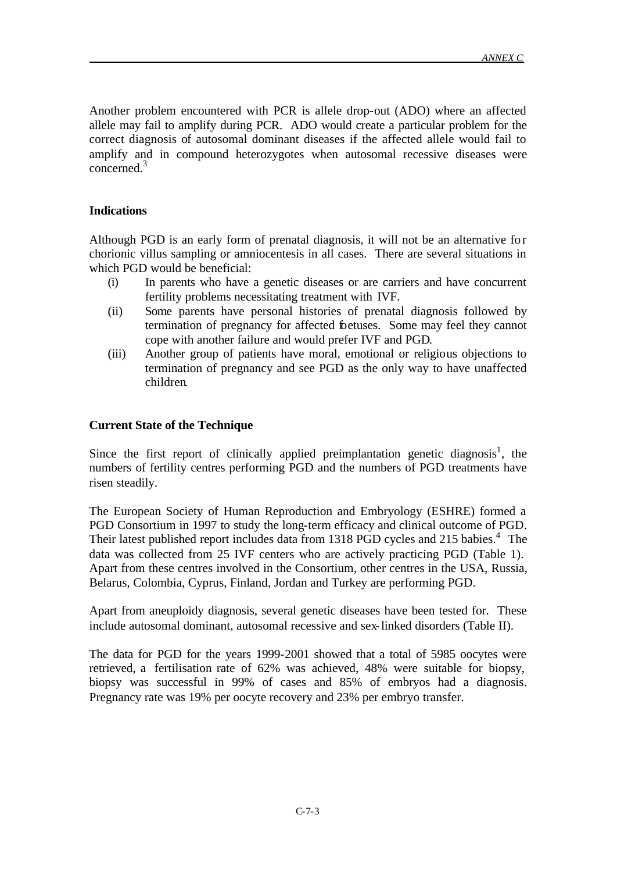Another problem encountered with PCR is allele drop-out (ADO) where an affected allele may fail to amplify during PCR. ADO would create a particular problem for the correct diagnosis of autosomal dominant diseases if the affected allele would fail to amplify and in compound heterozygotes when autosomal recessive diseases were concerned.<sup>3</sup>

## **Indications**

Although PGD is an early form of prenatal diagnosis, it will not be an alternative for chorionic villus sampling or amniocentesis in all cases. There are several situations in which PGD would be beneficial:

- (i) In parents who have a genetic diseases or are carriers and have concurrent fertility problems necessitating treatment with IVF.
- (ii) Some parents have personal histories of prenatal diagnosis followed by termination of pregnancy for affected foetuses. Some may feel they cannot cope with another failure and would prefer IVF and PGD.
- (iii) Another group of patients have moral, emotional or religious objections to termination of pregnancy and see PGD as the only way to have unaffected children.

#### **Current State of the Technique**

Since the first report of clinically applied preimplantation genetic diagnosis<sup>1</sup>, the numbers of fertility centres performing PGD and the numbers of PGD treatments have risen steadily.

The European Society of Human Reproduction and Embryology (ESHRE) formed a PGD Consortium in 1997 to study the long-term efficacy and clinical outcome of PGD. Their latest published report includes data from 1318 PGD cycles and 215 babies.<sup>4</sup> The data was collected from 25 IVF centers who are actively practicing PGD (Table 1). Apart from these centres involved in the Consortium, other centres in the USA, Russia, Belarus, Colombia, Cyprus, Finland, Jordan and Turkey are performing PGD.

Apart from aneuploidy diagnosis, several genetic diseases have been tested for. These include autosomal dominant, autosomal recessive and sex-linked disorders (Table II).

The data for PGD for the years 1999-2001 showed that a total of 5985 oocytes were retrieved, a fertilisation rate of 62% was achieved, 48% were suitable for biopsy, biopsy was successful in 99% of cases and 85% of embryos had a diagnosis. Pregnancy rate was 19% per oocyte recovery and 23% per embryo transfer.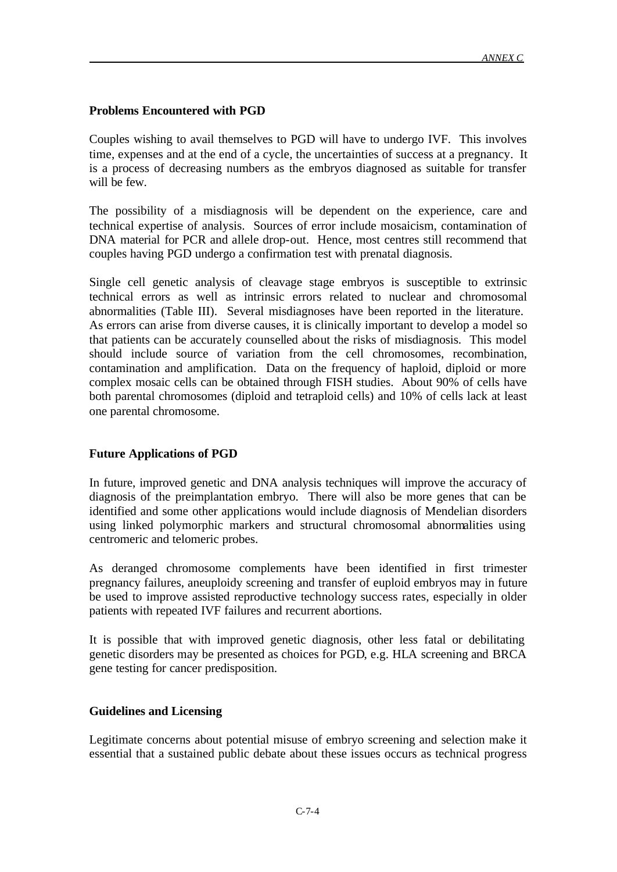#### **Problems Encountered with PGD**

Couples wishing to avail themselves to PGD will have to undergo IVF. This involves time, expenses and at the end of a cycle, the uncertainties of success at a pregnancy. It is a process of decreasing numbers as the embryos diagnosed as suitable for transfer will be few.

The possibility of a misdiagnosis will be dependent on the experience, care and technical expertise of analysis. Sources of error include mosaicism, contamination of DNA material for PCR and allele drop-out. Hence, most centres still recommend that couples having PGD undergo a confirmation test with prenatal diagnosis.

Single cell genetic analysis of cleavage stage embryos is susceptible to extrinsic technical errors as well as intrinsic errors related to nuclear and chromosomal abnormalities (Table III). Several misdiagnoses have been reported in the literature. As errors can arise from diverse causes, it is clinically important to develop a model so that patients can be accurately counselled about the risks of misdiagnosis. This model should include source of variation from the cell chromosomes, recombination, contamination and amplification. Data on the frequency of haploid, diploid or more complex mosaic cells can be obtained through FISH studies. About 90% of cells have both parental chromosomes (diploid and tetraploid cells) and 10% of cells lack at least one parental chromosome.

#### **Future Applications of PGD**

In future, improved genetic and DNA analysis techniques will improve the accuracy of diagnosis of the preimplantation embryo. There will also be more genes that can be identified and some other applications would include diagnosis of Mendelian disorders using linked polymorphic markers and structural chromosomal abnormalities using centromeric and telomeric probes.

As deranged chromosome complements have been identified in first trimester pregnancy failures, aneuploidy screening and transfer of euploid embryos may in future be used to improve assisted reproductive technology success rates, especially in older patients with repeated IVF failures and recurrent abortions.

It is possible that with improved genetic diagnosis, other less fatal or debilitating genetic disorders may be presented as choices for PGD, e.g. HLA screening and BRCA gene testing for cancer predisposition.

#### **Guidelines and Licensing**

Legitimate concerns about potential misuse of embryo screening and selection make it essential that a sustained public debate about these issues occurs as technical progress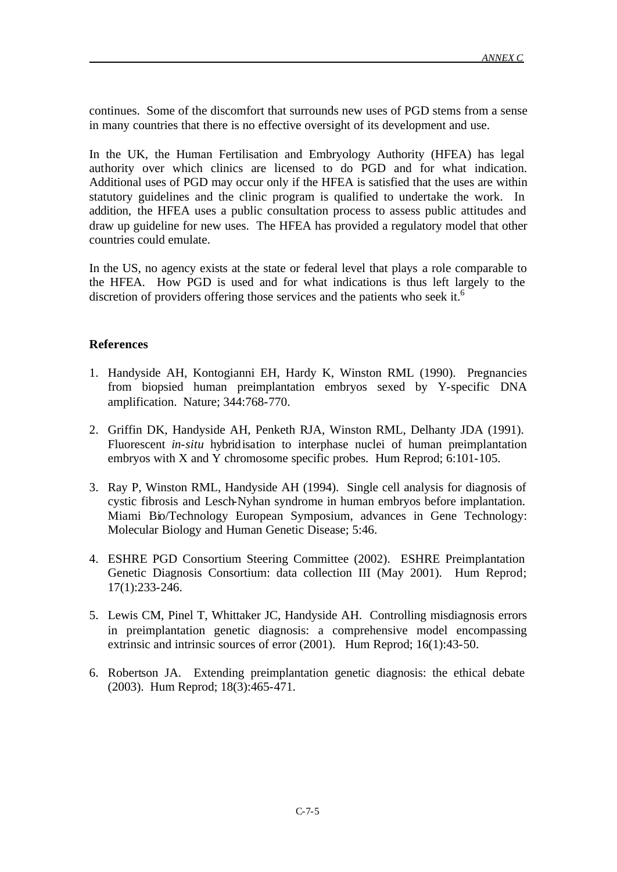continues. Some of the discomfort that surrounds new uses of PGD stems from a sense in many countries that there is no effective oversight of its development and use.

In the UK, the Human Fertilisation and Embryology Authority (HFEA) has legal authority over which clinics are licensed to do PGD and for what indication. Additional uses of PGD may occur only if the HFEA is satisfied that the uses are within statutory guidelines and the clinic program is qualified to undertake the work. In addition, the HFEA uses a public consultation process to assess public attitudes and draw up guideline for new uses. The HFEA has provided a regulatory model that other countries could emulate.

In the US, no agency exists at the state or federal level that plays a role comparable to the HFEA. How PGD is used and for what indications is thus left largely to the discretion of providers offering those services and the patients who seek it.<sup>6</sup>

#### **References**

- 1. Handyside AH, Kontogianni EH, Hardy K, Winston RML (1990). Pregnancies from biopsied human preimplantation embryos sexed by Y-specific DNA amplification. Nature; 344:768-770.
- 2. Griffin DK, Handyside AH, Penketh RJA, Winston RML, Delhanty JDA (1991). Fluorescent *in-situ* hybridisation to interphase nuclei of human preimplantation embryos with X and Y chromosome specific probes. Hum Reprod; 6:101-105.
- 3. Ray P, Winston RML, Handyside AH (1994). Single cell analysis for diagnosis of cystic fibrosis and Lesch-Nyhan syndrome in human embryos before implantation. Miami Bio/Technology European Symposium, advances in Gene Technology: Molecular Biology and Human Genetic Disease; 5:46.
- 4. ESHRE PGD Consortium Steering Committee (2002). ESHRE Preimplantation Genetic Diagnosis Consortium: data collection III (May 2001). Hum Reprod; 17(1):233-246.
- 5. Lewis CM, Pinel T, Whittaker JC, Handyside AH. Controlling misdiagnosis errors in preimplantation genetic diagnosis: a comprehensive model encompassing extrinsic and intrinsic sources of error (2001). Hum Reprod; 16(1):43-50.
- 6. Robertson JA. Extending preimplantation genetic diagnosis: the ethical debate (2003). Hum Reprod; 18(3):465-471.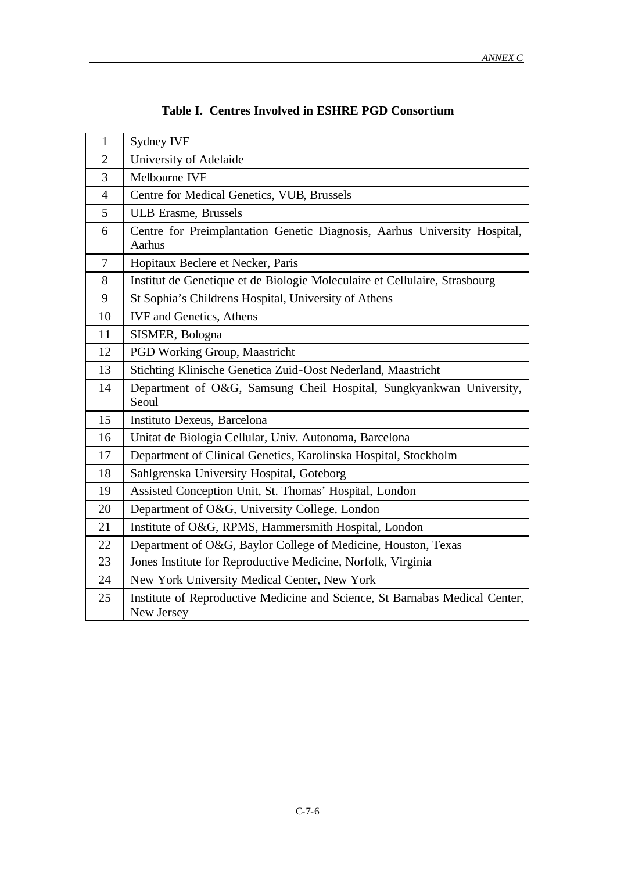| $\mathbf{1}$   | Sydney IVF                                                                                |  |
|----------------|-------------------------------------------------------------------------------------------|--|
| $\overline{2}$ | University of Adelaide                                                                    |  |
| 3              | Melbourne IVF                                                                             |  |
| $\overline{4}$ | Centre for Medical Genetics, VUB, Brussels                                                |  |
| 5              | <b>ULB Erasme, Brussels</b>                                                               |  |
| 6              | Centre for Preimplantation Genetic Diagnosis, Aarhus University Hospital,<br>Aarhus       |  |
| $\overline{7}$ | Hopitaux Beclere et Necker, Paris                                                         |  |
| 8              | Institut de Genetique et de Biologie Moleculaire et Cellulaire, Strasbourg                |  |
| 9              | St Sophia's Childrens Hospital, University of Athens                                      |  |
| 10             | <b>IVF</b> and Genetics, Athens                                                           |  |
| 11             | SISMER, Bologna                                                                           |  |
| 12             | PGD Working Group, Maastricht                                                             |  |
| 13             | Stichting Klinische Genetica Zuid-Oost Nederland, Maastricht                              |  |
| 14             | Department of O&G, Samsung Cheil Hospital, Sungkyankwan University,<br>Seoul              |  |
| 15             | Instituto Dexeus, Barcelona                                                               |  |
| 16             | Unitat de Biologia Cellular, Univ. Autonoma, Barcelona                                    |  |
| 17             | Department of Clinical Genetics, Karolinska Hospital, Stockholm                           |  |
| 18             | Sahlgrenska University Hospital, Goteborg                                                 |  |
| 19             | Assisted Conception Unit, St. Thomas' Hospital, London                                    |  |
| 20             | Department of O&G, University College, London                                             |  |
| 21             | Institute of O&G, RPMS, Hammersmith Hospital, London                                      |  |
| 22             | Department of O&G, Baylor College of Medicine, Houston, Texas                             |  |
| 23             | Jones Institute for Reproductive Medicine, Norfolk, Virginia                              |  |
| 24             | New York University Medical Center, New York                                              |  |
| 25             | Institute of Reproductive Medicine and Science, St Barnabas Medical Center,<br>New Jersey |  |

# **Table I. Centres Involved in ESHRE PGD Consortium**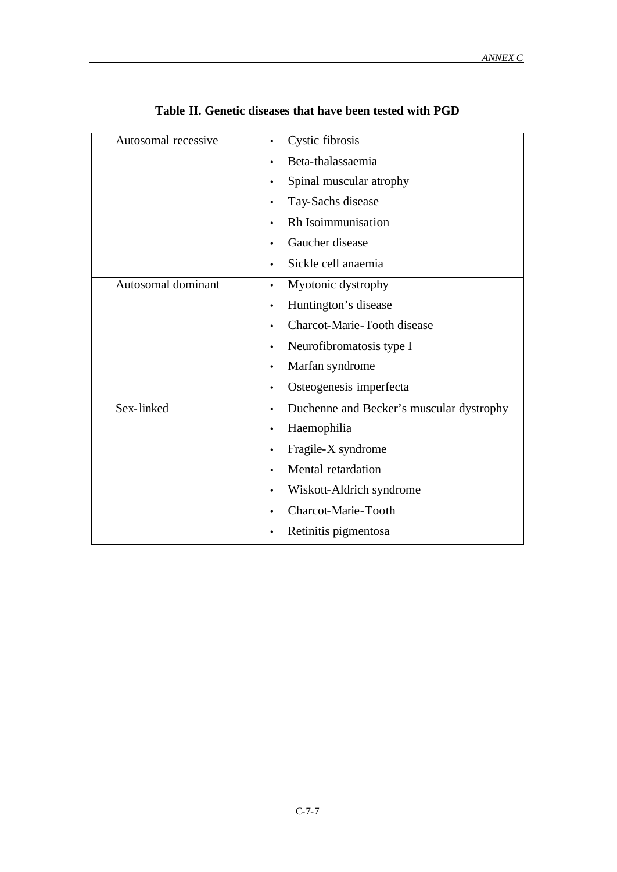| Autosomal recessive | Cystic fibrosis<br>$\bullet$                          |
|---------------------|-------------------------------------------------------|
|                     | Beta-thalassaemia                                     |
|                     | Spinal muscular atrophy<br>٠                          |
|                     | Tay-Sachs disease<br>$\bullet$                        |
|                     | Rh Isoimmunisation<br>$\bullet$                       |
|                     | Gaucher disease                                       |
|                     | Sickle cell anaemia<br>$\bullet$                      |
| Autosomal dominant  | Myotonic dystrophy<br>$\bullet$                       |
|                     | Huntington's disease<br>$\bullet$                     |
|                     | Charcot-Marie-Tooth disease<br>$\bullet$              |
|                     | Neurofibromatosis type I<br>$\bullet$                 |
|                     | Marfan syndrome<br>$\bullet$                          |
|                     | Osteogenesis imperfecta<br>٠                          |
| Sex-linked          | Duchenne and Becker's muscular dystrophy<br>$\bullet$ |
|                     | Haemophilia<br>$\bullet$                              |
|                     | Fragile-X syndrome<br>$\bullet$                       |
|                     | Mental retardation                                    |
|                     | Wiskott-Aldrich syndrome<br>$\bullet$                 |
|                     | <b>Charcot-Marie-Tooth</b>                            |
|                     | Retinitis pigmentosa                                  |

# **Table II. Genetic diseases that have been tested with PGD**